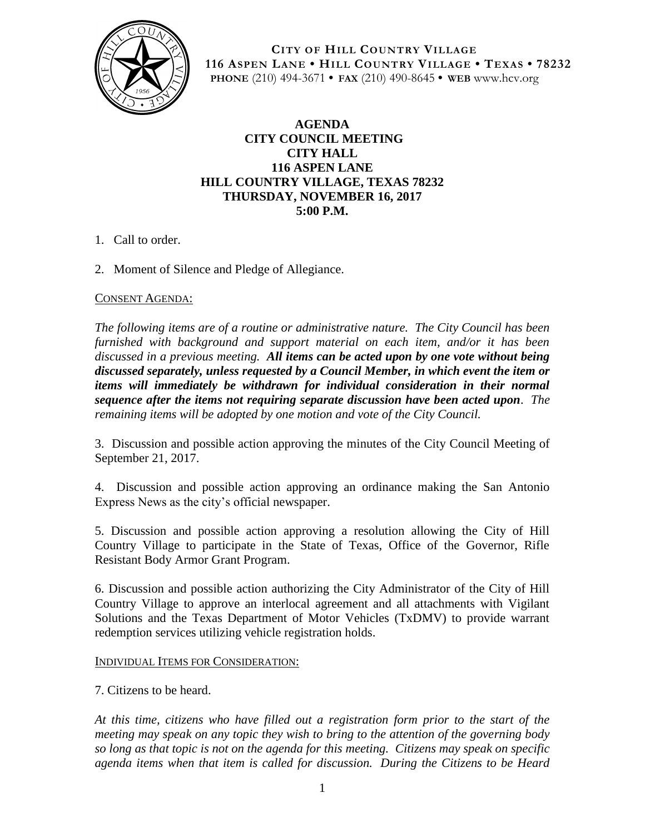

**CITY OF HILL COUNTRY VILLAGE 116 ASPEN LANE • HILL COUNTRY VILLAGE • TEXAS • 78232 PHONE** (210) 494-3671 **• FAX** (210) 490-8645 **• WEB** www.hcv.org

## **AGENDA CITY COUNCIL MEETING CITY HALL 116 ASPEN LANE HILL COUNTRY VILLAGE, TEXAS 78232 THURSDAY, NOVEMBER 16, 2017 5:00 P.M.**

- 1. Call to order.
- 2. Moment of Silence and Pledge of Allegiance.

### CONSENT AGENDA:

*The following items are of a routine or administrative nature. The City Council has been furnished with background and support material on each item, and/or it has been discussed in a previous meeting. All items can be acted upon by one vote without being discussed separately, unless requested by a Council Member, in which event the item or items will immediately be withdrawn for individual consideration in their normal sequence after the items not requiring separate discussion have been acted upon. The remaining items will be adopted by one motion and vote of the City Council.*

3. Discussion and possible action approving the minutes of the City Council Meeting of September 21, 2017.

4. Discussion and possible action approving an ordinance making the San Antonio Express News as the city's official newspaper.

5. Discussion and possible action approving a resolution allowing the City of Hill Country Village to participate in the State of Texas, Office of the Governor, Rifle Resistant Body Armor Grant Program.

6. Discussion and possible action authorizing the City Administrator of the City of Hill Country Village to approve an interlocal agreement and all attachments with Vigilant Solutions and the Texas Department of Motor Vehicles (TxDMV) to provide warrant redemption services utilizing vehicle registration holds.

#### INDIVIDUAL ITEMS FOR CONSIDERATION:

7. Citizens to be heard.

*At this time, citizens who have filled out a registration form prior to the start of the meeting may speak on any topic they wish to bring to the attention of the governing body so long as that topic is not on the agenda for this meeting. Citizens may speak on specific agenda items when that item is called for discussion. During the Citizens to be Heard*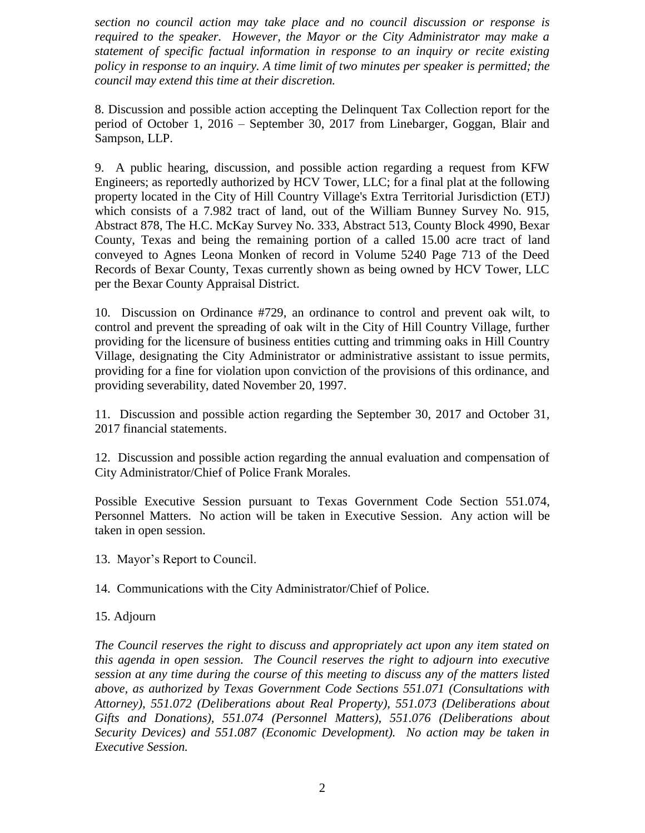*section no council action may take place and no council discussion or response is required to the speaker. However, the Mayor or the City Administrator may make a statement of specific factual information in response to an inquiry or recite existing policy in response to an inquiry. A time limit of two minutes per speaker is permitted; the council may extend this time at their discretion.*

8. Discussion and possible action accepting the Delinquent Tax Collection report for the period of October 1, 2016 – September 30, 2017 from Linebarger, Goggan, Blair and Sampson, LLP.

9. A public hearing, discussion, and possible action regarding a request from KFW Engineers; as reportedly authorized by HCV Tower, LLC; for a final plat at the following property located in the City of Hill Country Village's Extra Territorial Jurisdiction (ETJ) which consists of a 7.982 tract of land, out of the William Bunney Survey No. 915, Abstract 878, The H.C. McKay Survey No. 333, Abstract 513, County Block 4990, Bexar County, Texas and being the remaining portion of a called 15.00 acre tract of land conveyed to Agnes Leona Monken of record in Volume 5240 Page 713 of the Deed Records of Bexar County, Texas currently shown as being owned by HCV Tower, LLC per the Bexar County Appraisal District.

10. Discussion on Ordinance #729, an ordinance to control and prevent oak wilt, to control and prevent the spreading of oak wilt in the City of Hill Country Village, further providing for the licensure of business entities cutting and trimming oaks in Hill Country Village, designating the City Administrator or administrative assistant to issue permits, providing for a fine for violation upon conviction of the provisions of this ordinance, and providing severability, dated November 20, 1997.

11. Discussion and possible action regarding the September 30, 2017 and October 31, 2017 financial statements.

12. Discussion and possible action regarding the annual evaluation and compensation of City Administrator/Chief of Police Frank Morales.

Possible Executive Session pursuant to Texas Government Code Section 551.074, Personnel Matters. No action will be taken in Executive Session. Any action will be taken in open session.

13. Mayor's Report to Council.

14. Communications with the City Administrator/Chief of Police.

## 15. Adjourn

*The Council reserves the right to discuss and appropriately act upon any item stated on this agenda in open session. The Council reserves the right to adjourn into executive session at any time during the course of this meeting to discuss any of the matters listed above, as authorized by Texas Government Code Sections 551.071 (Consultations with Attorney), 551.072 (Deliberations about Real Property), 551.073 (Deliberations about Gifts and Donations), 551.074 (Personnel Matters), 551.076 (Deliberations about Security Devices) and 551.087 (Economic Development). No action may be taken in Executive Session.*